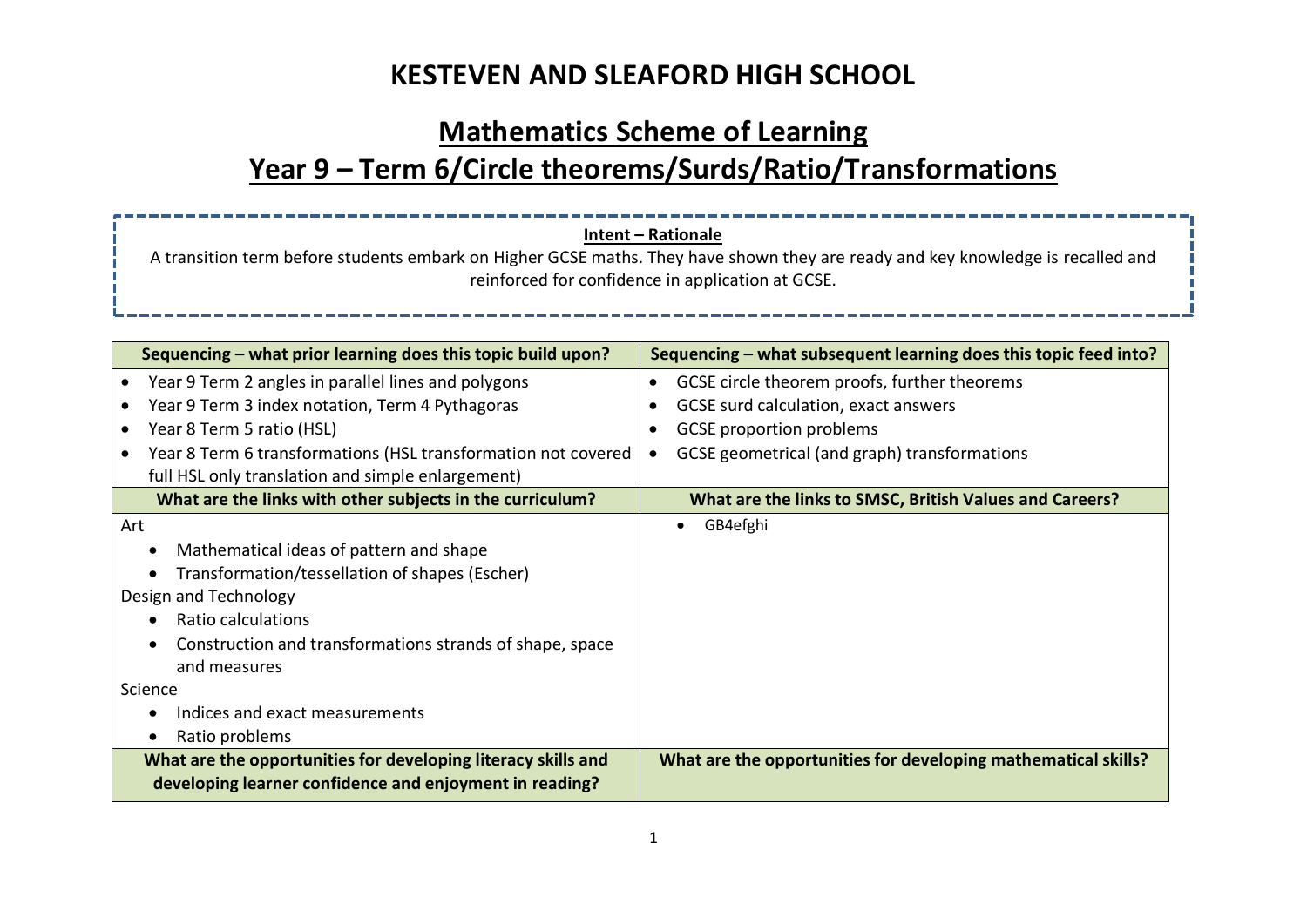## **Mathematics Scheme of Learning Year 9 – Term 6/Circle theorems/Surds/Ratio/Transformations**

#### **Intent – Rationale**

A transition term before students embark on Higher GCSE maths. They have shown they are ready and key knowledge is recalled and reinforced for confidence in application at GCSE.

| Sequencing – what prior learning does this topic build upon?                                                             | Sequencing – what subsequent learning does this topic feed into? |  |  |
|--------------------------------------------------------------------------------------------------------------------------|------------------------------------------------------------------|--|--|
| Year 9 Term 2 angles in parallel lines and polygons                                                                      | GCSE circle theorem proofs, further theorems<br>$\bullet$        |  |  |
| Year 9 Term 3 index notation, Term 4 Pythagoras                                                                          | GCSE surd calculation, exact answers                             |  |  |
| Year 8 Term 5 ratio (HSL)<br>$\bullet$                                                                                   | <b>GCSE</b> proportion problems                                  |  |  |
| Year 8 Term 6 transformations (HSL transformation not covered                                                            | GCSE geometrical (and graph) transformations                     |  |  |
| full HSL only translation and simple enlargement)                                                                        |                                                                  |  |  |
| What are the links with other subjects in the curriculum?                                                                | What are the links to SMSC, British Values and Careers?          |  |  |
| Art                                                                                                                      | GB4efghi                                                         |  |  |
| Mathematical ideas of pattern and shape                                                                                  |                                                                  |  |  |
| Transformation/tessellation of shapes (Escher)                                                                           |                                                                  |  |  |
| Design and Technology                                                                                                    |                                                                  |  |  |
| Ratio calculations                                                                                                       |                                                                  |  |  |
| Construction and transformations strands of shape, space                                                                 |                                                                  |  |  |
| and measures                                                                                                             |                                                                  |  |  |
| Science                                                                                                                  |                                                                  |  |  |
| Indices and exact measurements                                                                                           |                                                                  |  |  |
| Ratio problems                                                                                                           |                                                                  |  |  |
| What are the opportunities for developing literacy skills and<br>developing learner confidence and enjoyment in reading? | What are the opportunities for developing mathematical skills?   |  |  |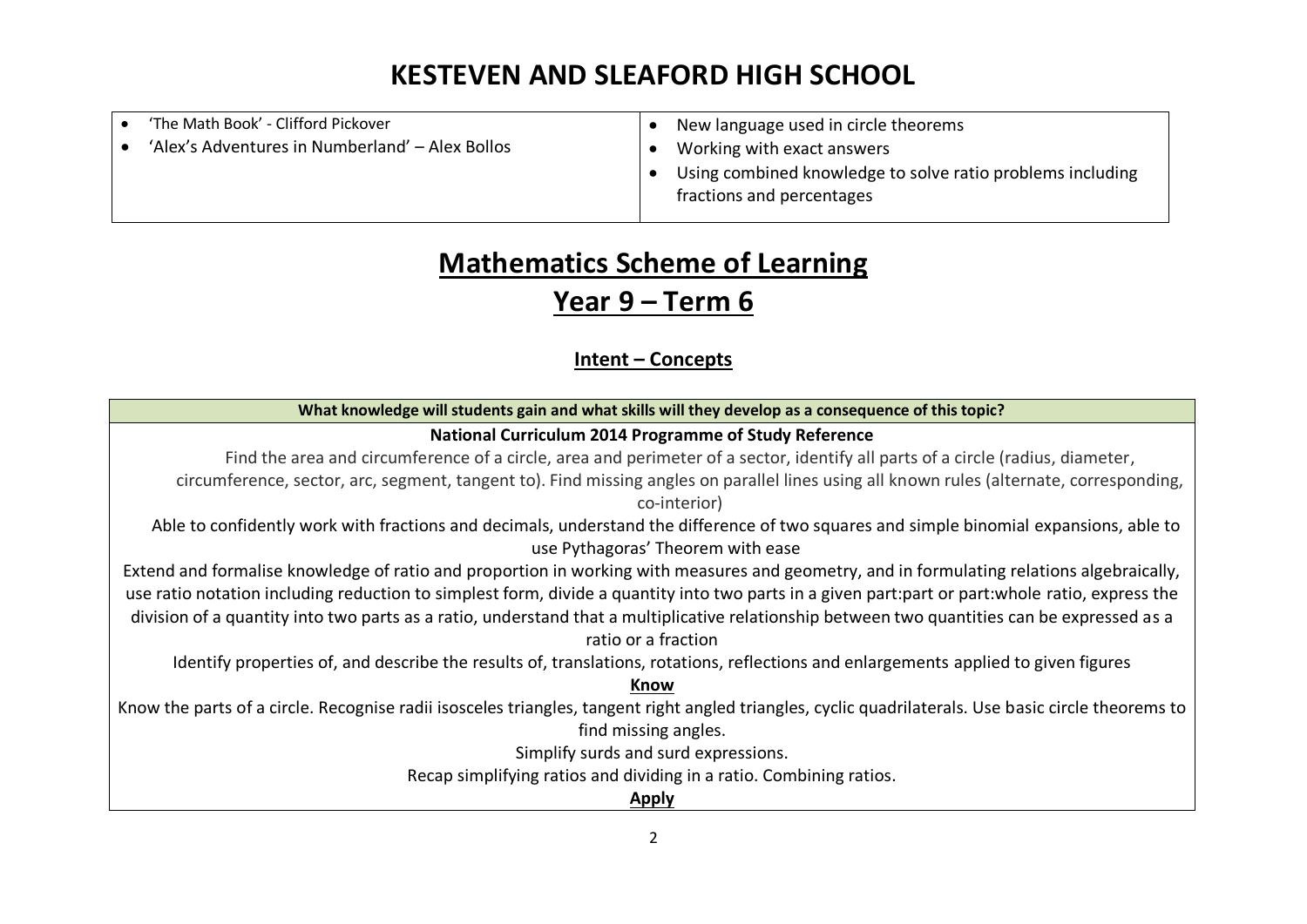| 'The Math Book' - Clifford Pickover             | New language used in circle theorems                       |
|-------------------------------------------------|------------------------------------------------------------|
| 'Alex's Adventures in Numberland' - Alex Bollos | Working with exact answers                                 |
|                                                 | Using combined knowledge to solve ratio problems including |
|                                                 | fractions and percentages                                  |
|                                                 |                                                            |

# **Mathematics Scheme of Learning**

### **Year 9 – Term 6**

### **Intent – Concepts**

| What knowledge will students gain and what skills will they develop as a consequence of this topic?                                                      |  |  |  |  |
|----------------------------------------------------------------------------------------------------------------------------------------------------------|--|--|--|--|
| National Curriculum 2014 Programme of Study Reference                                                                                                    |  |  |  |  |
| Find the area and circumference of a circle, area and perimeter of a sector, identify all parts of a circle (radius, diameter,                           |  |  |  |  |
| circumference, sector, arc, segment, tangent to). Find missing angles on parallel lines using all known rules (alternate, corresponding,<br>co-interior) |  |  |  |  |
| Able to confidently work with fractions and decimals, understand the difference of two squares and simple binomial expansions, able to                   |  |  |  |  |
| use Pythagoras' Theorem with ease                                                                                                                        |  |  |  |  |
| Extend and formalise knowledge of ratio and proportion in working with measures and geometry, and in formulating relations algebraically,                |  |  |  |  |
| use ratio notation including reduction to simplest form, divide a quantity into two parts in a given part:part or part:whole ratio, express the          |  |  |  |  |
| division of a quantity into two parts as a ratio, understand that a multiplicative relationship between two quantities can be expressed as a             |  |  |  |  |
| ratio or a fraction                                                                                                                                      |  |  |  |  |
| Identify properties of, and describe the results of, translations, rotations, reflections and enlargements applied to given figures                      |  |  |  |  |
| Know                                                                                                                                                     |  |  |  |  |
| Know the parts of a circle. Recognise radii isosceles triangles, tangent right angled triangles, cyclic quadrilaterals. Use basic circle theorems to     |  |  |  |  |
| find missing angles.                                                                                                                                     |  |  |  |  |
| Simplify surds and surd expressions.                                                                                                                     |  |  |  |  |
| Recap simplifying ratios and dividing in a ratio. Combining ratios.                                                                                      |  |  |  |  |
| <b>Apply</b>                                                                                                                                             |  |  |  |  |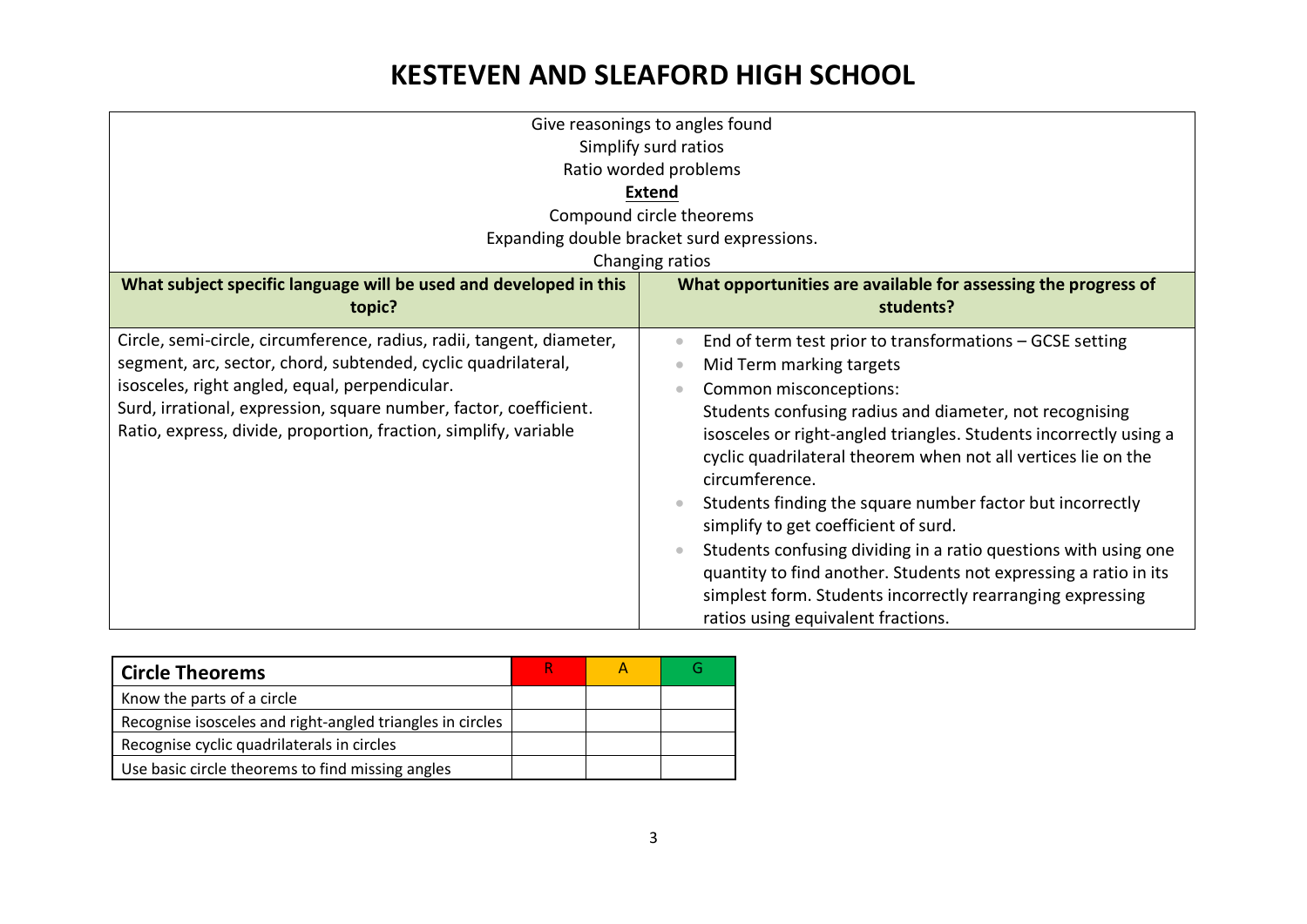| Give reasonings to angles found                                       |                                                                       |  |  |  |  |
|-----------------------------------------------------------------------|-----------------------------------------------------------------------|--|--|--|--|
| Simplify surd ratios                                                  |                                                                       |  |  |  |  |
| Ratio worded problems                                                 |                                                                       |  |  |  |  |
| <b>Extend</b>                                                         |                                                                       |  |  |  |  |
|                                                                       | Compound circle theorems                                              |  |  |  |  |
|                                                                       | Expanding double bracket surd expressions.                            |  |  |  |  |
|                                                                       | Changing ratios                                                       |  |  |  |  |
| What subject specific language will be used and developed in this     |                                                                       |  |  |  |  |
|                                                                       | What opportunities are available for assessing the progress of        |  |  |  |  |
| topic?                                                                | students?                                                             |  |  |  |  |
| Circle, semi-circle, circumference, radius, radii, tangent, diameter, | End of term test prior to transformations - GCSE setting<br>$\bullet$ |  |  |  |  |
| segment, arc, sector, chord, subtended, cyclic quadrilateral,         | Mid Term marking targets<br>$\bullet$                                 |  |  |  |  |
| isosceles, right angled, equal, perpendicular.                        | Common misconceptions:<br>$\qquad \qquad \bullet$                     |  |  |  |  |
| Surd, irrational, expression, square number, factor, coefficient.     | Students confusing radius and diameter, not recognising               |  |  |  |  |
| Ratio, express, divide, proportion, fraction, simplify, variable      | isosceles or right-angled triangles. Students incorrectly using a     |  |  |  |  |
|                                                                       | cyclic quadrilateral theorem when not all vertices lie on the         |  |  |  |  |
|                                                                       | circumference.                                                        |  |  |  |  |
|                                                                       | Students finding the square number factor but incorrectly             |  |  |  |  |
|                                                                       | simplify to get coefficient of surd.                                  |  |  |  |  |
|                                                                       | Students confusing dividing in a ratio questions with using one       |  |  |  |  |
|                                                                       | quantity to find another. Students not expressing a ratio in its      |  |  |  |  |
|                                                                       |                                                                       |  |  |  |  |
|                                                                       | simplest form. Students incorrectly rearranging expressing            |  |  |  |  |
|                                                                       | ratios using equivalent fractions.                                    |  |  |  |  |

| <b>Circle Theorems</b>                                    |  |  |
|-----------------------------------------------------------|--|--|
| Know the parts of a circle                                |  |  |
| Recognise isosceles and right-angled triangles in circles |  |  |
| Recognise cyclic quadrilaterals in circles                |  |  |
| Use basic circle theorems to find missing angles          |  |  |